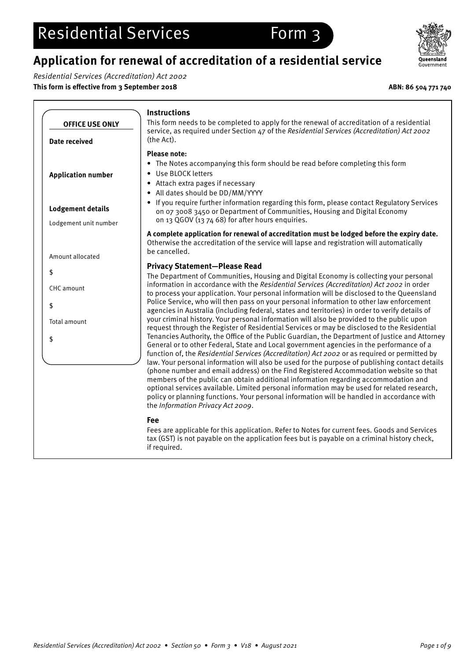## **Application for renewal of accreditation of a residential service**

Residential Services (Accreditation) Act 2002

**This form is effective from 3 September 2018 ABN: 86 504 771 740**



|                           | <b>Instructions</b>                                                                                                                                                                                                                                                                                                                                                                                                                                                                                                                                                                                                                                                                                                                                                                                             |
|---------------------------|-----------------------------------------------------------------------------------------------------------------------------------------------------------------------------------------------------------------------------------------------------------------------------------------------------------------------------------------------------------------------------------------------------------------------------------------------------------------------------------------------------------------------------------------------------------------------------------------------------------------------------------------------------------------------------------------------------------------------------------------------------------------------------------------------------------------|
| <b>OFFICE USE ONLY</b>    | This form needs to be completed to apply for the renewal of accreditation of a residential                                                                                                                                                                                                                                                                                                                                                                                                                                                                                                                                                                                                                                                                                                                      |
| Date received             | service, as required under Section 47 of the Residential Services (Accreditation) Act 2002<br>(the Act).                                                                                                                                                                                                                                                                                                                                                                                                                                                                                                                                                                                                                                                                                                        |
| <b>Application number</b> | <b>Please note:</b><br>The Notes accompanying this form should be read before completing this form<br>$\bullet$<br>Use BLOCK letters<br>$\bullet$<br>Attach extra pages if necessary<br>$\bullet$<br>• All dates should be DD/MM/YYYY                                                                                                                                                                                                                                                                                                                                                                                                                                                                                                                                                                           |
| <b>Lodgement details</b>  | • If you require further information regarding this form, please contact Regulatory Services<br>on 07 3008 3450 or Department of Communities, Housing and Digital Economy<br>on 13 QGOV (13 74 68) for after hours enquiries.                                                                                                                                                                                                                                                                                                                                                                                                                                                                                                                                                                                   |
| Lodgement unit number     | A complete application for renewal of accreditation must be lodged before the expiry date.                                                                                                                                                                                                                                                                                                                                                                                                                                                                                                                                                                                                                                                                                                                      |
| Amount allocated          | Otherwise the accreditation of the service will lapse and registration will automatically<br>be cancelled.                                                                                                                                                                                                                                                                                                                                                                                                                                                                                                                                                                                                                                                                                                      |
| \$                        | <b>Privacy Statement-Please Read</b><br>The Department of Communities, Housing and Digital Economy is collecting your personal                                                                                                                                                                                                                                                                                                                                                                                                                                                                                                                                                                                                                                                                                  |
| CHC amount                | information in accordance with the Residential Services (Accreditation) Act 2002 in order<br>to process your application. Your personal information will be disclosed to the Queensland                                                                                                                                                                                                                                                                                                                                                                                                                                                                                                                                                                                                                         |
| \$                        | Police Service, who will then pass on your personal information to other law enforcement<br>agencies in Australia (including federal, states and territories) in order to verify details of                                                                                                                                                                                                                                                                                                                                                                                                                                                                                                                                                                                                                     |
| Total amount              | your criminal history. Your personal information will also be provided to the public upon<br>request through the Register of Residential Services or may be disclosed to the Residential                                                                                                                                                                                                                                                                                                                                                                                                                                                                                                                                                                                                                        |
| \$                        | Tenancies Authority, the Office of the Public Guardian, the Department of Justice and Attorney<br>General or to other Federal, State and Local government agencies in the performance of a<br>function of, the Residential Services (Accreditation) Act 2002 or as required or permitted by<br>law. Your personal information will also be used for the purpose of publishing contact details<br>(phone number and email address) on the Find Registered Accommodation website so that<br>members of the public can obtain additional information regarding accommodation and<br>optional services available. Limited personal information may be used for related research,<br>policy or planning functions. Your personal information will be handled in accordance with<br>the Information Privacy Act 2009. |
|                           | Fee<br>Fees are applicable for this application. Refer to Notes for current fees. Goods and Services<br>tax (GST) is not payable on the application fees but is payable on a criminal history check,<br>if required.                                                                                                                                                                                                                                                                                                                                                                                                                                                                                                                                                                                            |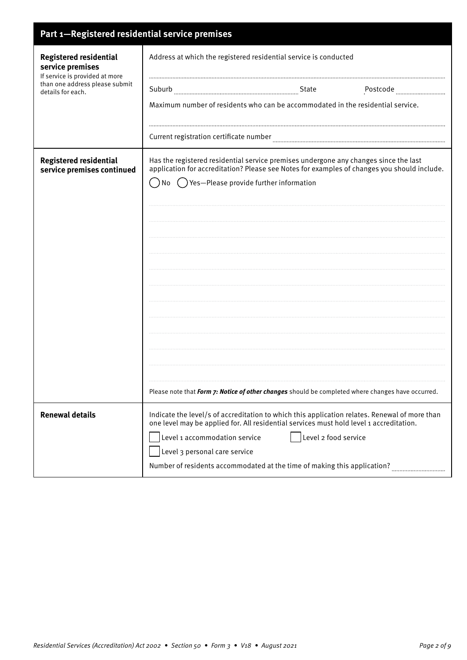| Part 1-Registered residential service premises                                                                                             |                                                                                                                                                                                          |
|--------------------------------------------------------------------------------------------------------------------------------------------|------------------------------------------------------------------------------------------------------------------------------------------------------------------------------------------|
| <b>Registered residential</b><br>service premises<br>If service is provided at more<br>than one address please submit<br>details for each. | Address at which the registered residential service is conducted                                                                                                                         |
|                                                                                                                                            | Postcode manufacture                                                                                                                                                                     |
|                                                                                                                                            | Maximum number of residents who can be accommodated in the residential service.                                                                                                          |
|                                                                                                                                            | Current registration certificate number                                                                                                                                                  |
| <b>Registered residential</b><br>service premises continued                                                                                | Has the registered residential service premises undergone any changes since the last<br>application for accreditation? Please see Notes for examples of changes you should include.      |
|                                                                                                                                            | () Yes-Please provide further information<br>No                                                                                                                                          |
|                                                                                                                                            |                                                                                                                                                                                          |
|                                                                                                                                            |                                                                                                                                                                                          |
|                                                                                                                                            |                                                                                                                                                                                          |
|                                                                                                                                            |                                                                                                                                                                                          |
|                                                                                                                                            |                                                                                                                                                                                          |
|                                                                                                                                            |                                                                                                                                                                                          |
|                                                                                                                                            |                                                                                                                                                                                          |
|                                                                                                                                            |                                                                                                                                                                                          |
|                                                                                                                                            |                                                                                                                                                                                          |
|                                                                                                                                            | Please note that Form 7: Notice of other changes should be completed where changes have occurred.                                                                                        |
| <b>Renewal details</b>                                                                                                                     | Indicate the level/s of accreditation to which this application relates. Renewal of more than<br>one level may be applied for. All residential services must hold level 1 accreditation. |
|                                                                                                                                            | Level 1 accommodation service<br>Level 2 food service                                                                                                                                    |
|                                                                                                                                            | Level 3 personal care service<br>Number of residents accommodated at the time of making this application?                                                                                |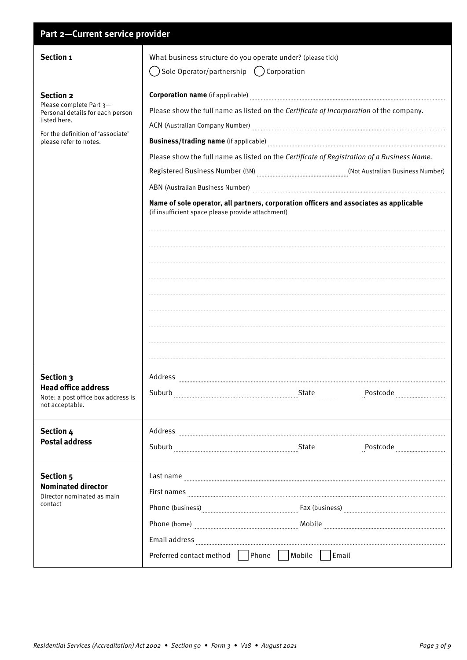| Part 2-Current service provider                                                                                                                                |                                                                                                                                                                                                                                                                                                                                                                                                           |  |
|----------------------------------------------------------------------------------------------------------------------------------------------------------------|-----------------------------------------------------------------------------------------------------------------------------------------------------------------------------------------------------------------------------------------------------------------------------------------------------------------------------------------------------------------------------------------------------------|--|
| Section 1                                                                                                                                                      | What business structure do you operate under? (please tick)<br>Sole Operator/partnership () Corporation                                                                                                                                                                                                                                                                                                   |  |
| <b>Section 2</b><br>Please complete Part 3-<br>Personal details for each person<br>listed here.<br>For the definition of 'associate'<br>please refer to notes. | Please show the full name as listed on the Certificate of Incorporation of the company.<br>Please show the full name as listed on the Certificate of Registration of a Business Name.<br>Registered Business Number (BN) [BI] [Registered Business Number)<br>Name of sole operator, all partners, corporation officers and associates as applicable<br>(if insufficient space please provide attachment) |  |
| Section 3<br><b>Head office address</b><br>Note: a post office box address is<br>not acceptable.                                                               |                                                                                                                                                                                                                                                                                                                                                                                                           |  |
| Section 4<br><b>Postal address</b>                                                                                                                             | Suburb Example 2014<br>Postcode manual processor                                                                                                                                                                                                                                                                                                                                                          |  |
| Section 5<br><b>Nominated director</b><br>Director nominated as main<br>contact                                                                                | Last name<br>First names <b>with an experimental contract of the contract of the contract of the contract of the contract of the contract of the contract of the contract of the contract of the contract of the contract of the contract of </b><br>Preferred contact method   Phone     Mobile     Email                                                                                                |  |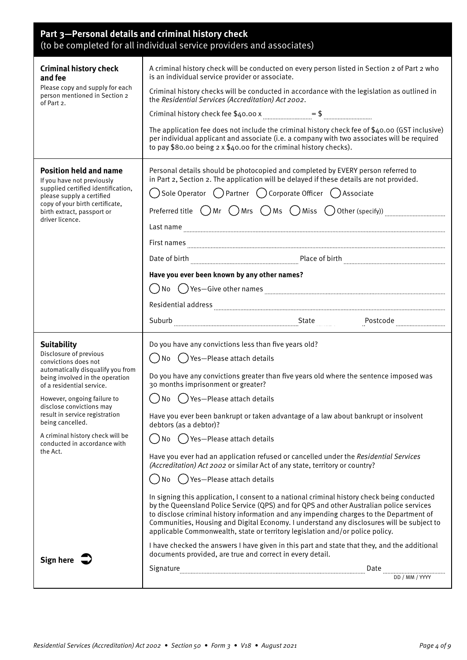| Part 3-Personal details and criminal history check<br>(to be completed for all individual service providers and associates) |                                                                                                                                                                                                                                                                                                                                                                                                                                                                 |  |
|-----------------------------------------------------------------------------------------------------------------------------|-----------------------------------------------------------------------------------------------------------------------------------------------------------------------------------------------------------------------------------------------------------------------------------------------------------------------------------------------------------------------------------------------------------------------------------------------------------------|--|
| <b>Criminal history check</b><br>and fee<br>Please copy and supply for each<br>person mentioned in Section 2<br>of Part 2.  | A criminal history check will be conducted on every person listed in Section 2 of Part 2 who<br>is an individual service provider or associate.                                                                                                                                                                                                                                                                                                                 |  |
|                                                                                                                             | Criminal history checks will be conducted in accordance with the legislation as outlined in<br>the Residential Services (Accreditation) Act 2002.                                                                                                                                                                                                                                                                                                               |  |
|                                                                                                                             |                                                                                                                                                                                                                                                                                                                                                                                                                                                                 |  |
|                                                                                                                             | The application fee does not include the criminal history check fee of \$40.00 (GST inclusive)<br>per individual applicant and associate (i.e. a company with two associates will be required<br>to pay \$80.00 being 2 x \$40.00 for the criminal history checks).                                                                                                                                                                                             |  |
| <b>Position held and name</b><br>If you have not previously                                                                 | Personal details should be photocopied and completed by EVERY person referred to<br>in Part 2, Section 2. The application will be delayed if these details are not provided.                                                                                                                                                                                                                                                                                    |  |
| supplied certified identification,<br>please supply a certified                                                             | $\bigcirc$ Sole Operator $\ \bigcirc$ Partner $\ \bigcirc$ Corporate Officer $\ \bigcirc$ Associate                                                                                                                                                                                                                                                                                                                                                             |  |
| copy of your birth certificate,<br>birth extract, passport or                                                               | Preferred title $\bigcirc$ Mr $\bigcirc$ Mrs $\bigcirc$ Ms $\bigcirc$ Miss $\bigcirc$ Other (specify)) $\ldots$                                                                                                                                                                                                                                                                                                                                                 |  |
| driver licence.                                                                                                             |                                                                                                                                                                                                                                                                                                                                                                                                                                                                 |  |
|                                                                                                                             |                                                                                                                                                                                                                                                                                                                                                                                                                                                                 |  |
|                                                                                                                             |                                                                                                                                                                                                                                                                                                                                                                                                                                                                 |  |
|                                                                                                                             | Have you ever been known by any other names?                                                                                                                                                                                                                                                                                                                                                                                                                    |  |
|                                                                                                                             |                                                                                                                                                                                                                                                                                                                                                                                                                                                                 |  |
|                                                                                                                             | Residential address Entertainment and the contract of the contract of the contract of the contract of the contract of the contract of the contract of the contract of the contract of the contract of the contract of the cont                                                                                                                                                                                                                                  |  |
|                                                                                                                             | Suburb Electronic Contract Contract Contract Contract Contract Contract Contract Contract Contract Contract Contract Contract Contract Contract Contract Contract Contract Contract Contract Contract Contract Contract Contra                                                                                                                                                                                                                                  |  |
| <b>Suitability</b>                                                                                                          | Do you have any convictions less than five years old?                                                                                                                                                                                                                                                                                                                                                                                                           |  |
| Disclosure of previous<br>convictions does not                                                                              | $\bigcap$ No $\bigcap$ Yes-Please attach details                                                                                                                                                                                                                                                                                                                                                                                                                |  |
| automatically disqualify you from<br>being involved in the operation<br>of a residential service.                           | Do you have any convictions greater than five years old where the sentence imposed was<br>30 months imprisonment or greater?                                                                                                                                                                                                                                                                                                                                    |  |
| However, ongoing failure to<br>disclose convictions may                                                                     | () Yes-Please attach details<br>No                                                                                                                                                                                                                                                                                                                                                                                                                              |  |
| result in service registration<br>being cancelled.                                                                          | Have you ever been bankrupt or taken advantage of a law about bankrupt or insolvent<br>debtors (as a debtor)?                                                                                                                                                                                                                                                                                                                                                   |  |
| A criminal history check will be<br>conducted in accordance with                                                            | () Yes-Please attach details<br>No                                                                                                                                                                                                                                                                                                                                                                                                                              |  |
| the Act.                                                                                                                    | Have you ever had an application refused or cancelled under the Residential Services<br>(Accreditation) Act 2002 or similar Act of any state, territory or country?                                                                                                                                                                                                                                                                                             |  |
|                                                                                                                             | No ( ) Yes—Please attach details                                                                                                                                                                                                                                                                                                                                                                                                                                |  |
|                                                                                                                             | In signing this application, I consent to a national criminal history check being conducted<br>by the Queensland Police Service (QPS) and for QPS and other Australian police services<br>to disclose criminal history information and any impending charges to the Department of<br>Communities, Housing and Digital Economy. I understand any disclosures will be subject to<br>applicable Commonwealth, state or territory legislation and/or police policy. |  |
| Sign here $\overrightarrow{\phantom{a}}$                                                                                    | I have checked the answers I have given in this part and state that they, and the additional<br>documents provided, are true and correct in every detail.                                                                                                                                                                                                                                                                                                       |  |
|                                                                                                                             | Date<br>DD / MM / YYYY                                                                                                                                                                                                                                                                                                                                                                                                                                          |  |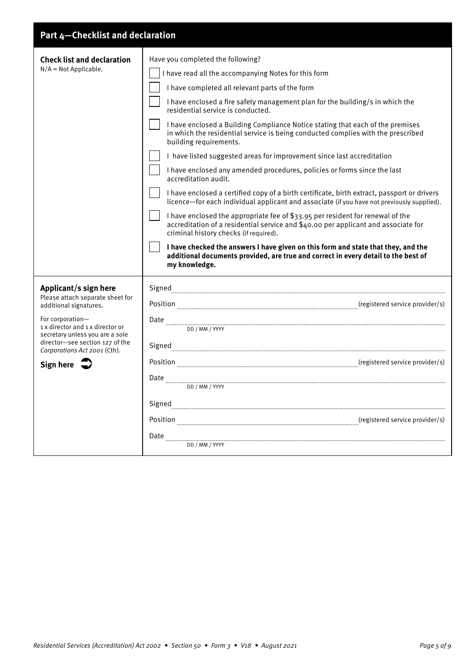### **Part 4—Checklist and declaration**

| <b>Check list and declaration</b>                                                                                                                          | Have you completed the following?                                                                                                                                                                                                                                                                                                                                                                                                                            |
|------------------------------------------------------------------------------------------------------------------------------------------------------------|--------------------------------------------------------------------------------------------------------------------------------------------------------------------------------------------------------------------------------------------------------------------------------------------------------------------------------------------------------------------------------------------------------------------------------------------------------------|
| $N/A = Not Applied.$                                                                                                                                       | I have read all the accompanying Notes for this form                                                                                                                                                                                                                                                                                                                                                                                                         |
|                                                                                                                                                            | I have completed all relevant parts of the form                                                                                                                                                                                                                                                                                                                                                                                                              |
|                                                                                                                                                            | I have enclosed a fire safety management plan for the building/s in which the<br>residential service is conducted.                                                                                                                                                                                                                                                                                                                                           |
|                                                                                                                                                            | I have enclosed a Building Compliance Notice stating that each of the premises<br>in which the residential service is being conducted complies with the prescribed<br>building requirements.                                                                                                                                                                                                                                                                 |
|                                                                                                                                                            | I have listed suggested areas for improvement since last accreditation                                                                                                                                                                                                                                                                                                                                                                                       |
|                                                                                                                                                            | I have enclosed any amended procedures, policies or forms since the last<br>accreditation audit.                                                                                                                                                                                                                                                                                                                                                             |
|                                                                                                                                                            | I have enclosed a certified copy of a birth certificate, birth extract, passport or drivers<br>licence-for each individual applicant and associate (if you have not previously supplied).                                                                                                                                                                                                                                                                    |
|                                                                                                                                                            | I have enclosed the appropriate fee of \$33.95 per resident for renewal of the<br>accreditation of a residential service and \$40.00 per applicant and associate for<br>criminal history checks (if required).                                                                                                                                                                                                                                               |
|                                                                                                                                                            | I have checked the answers I have given on this form and state that they, and the<br>additional documents provided, are true and correct in every detail to the best of<br>my knowledge.                                                                                                                                                                                                                                                                     |
| Applicant/s sign here                                                                                                                                      |                                                                                                                                                                                                                                                                                                                                                                                                                                                              |
| Please attach separate sheet for<br>additional signatures.                                                                                                 | Position manufacture movider/s)                                                                                                                                                                                                                                                                                                                                                                                                                              |
| For corporation-<br>1 x director and 1 x director or<br>secretary unless you are a sole<br>director-see section 127 of the<br>Corporations Act 2001 (Cth). | $\begin{minipage}{.45\textwidth} \begin{tabular}{p{0.8cm}p{0.8cm}p{0.8cm}} \hline 0.0 & 0.00 & 0.00 & 0.00 & 0.00 & 0.00 & 0.00 & 0.00 & 0.00 & 0.00 & 0.00 & 0.00 & 0.00 & 0.00 & 0.00 & 0.00 & 0.00 & 0.00 & 0.00 & 0.00 & 0.00 & 0.00 & 0.00 & 0.00 & 0.00 & 0.00 & 0.00 & 0.00 & 0.00 & 0.$                                                                                                                                                              |
|                                                                                                                                                            |                                                                                                                                                                                                                                                                                                                                                                                                                                                              |
| Sign here $\sqrt{\phantom{a}}$                                                                                                                             | Position manufacture movider/s)                                                                                                                                                                                                                                                                                                                                                                                                                              |
|                                                                                                                                                            | $\begin{minipage}[c]{0.9\linewidth} \textbf{Date} \end{minipage}[ \begin{tabular}[c]{0.9\linewidth} \textbf{Date} \end{tabular} \caption{The \textit{untrivial} \textit{t} \textit{t} \textit{t} \textit{t} \textit{t} \textit{t} \textit{t} \textit{t} \textit{t} \textit{t} \textit{t} \textit{t} \textit{t} \textit{t} \textit{t} \textit{t} \textit{t} \textit{t} \textit{t} \textit{t} \textit{t} \textit{t} \textit{t} \textit{t} \textit{t} \textit{$ |
|                                                                                                                                                            | ${\Large \bf Signed} \label{thm:nonlinear} {\small \bf Signed} \label{thm:nonlinear}$                                                                                                                                                                                                                                                                                                                                                                        |
|                                                                                                                                                            | Position manufacture movider/s)                                                                                                                                                                                                                                                                                                                                                                                                                              |
|                                                                                                                                                            | DD / MM / YYYY                                                                                                                                                                                                                                                                                                                                                                                                                                               |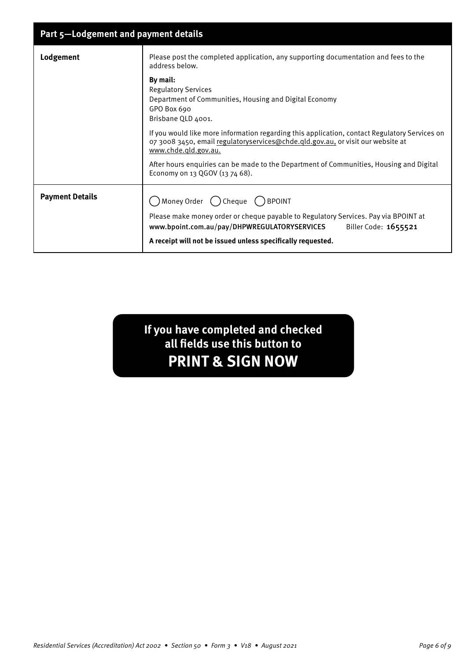| Part 5-Lodgement and payment details |                                                                                                                                                                                                          |
|--------------------------------------|----------------------------------------------------------------------------------------------------------------------------------------------------------------------------------------------------------|
| Lodgement                            | Please post the completed application, any supporting documentation and fees to the<br>address below.                                                                                                    |
|                                      | By mail:<br><b>Regulatory Services</b><br>Department of Communities, Housing and Digital Economy<br>GPO Box 690<br>Brisbane QLD 4001.                                                                    |
|                                      | If you would like more information regarding this application, contact Regulatory Services on<br>07 3008 3450, email regulatoryservices@chde.qld.gov.au, or visit our website at<br>www.chde.gld.gov.au. |
|                                      | After hours enquiries can be made to the Department of Communities, Housing and Digital<br>Economy on 13 QGOV (13 74 68).                                                                                |
| <b>Payment Details</b>               | $\bigcap$ Money Order $\bigcap$ Cheque $\bigcap$ BPOINT                                                                                                                                                  |
|                                      | Please make money order or cheque payable to Regulatory Services. Pay via BPOINT at<br>www.bpoint.com.au/pay/DHPWREGULATORYSERVICES<br>Biller Code: 1655521                                              |
|                                      | A receipt will not be issued unless specifically requested.                                                                                                                                              |

**If you have completed and checked all fields use this button to PRINT & SIGN NOW**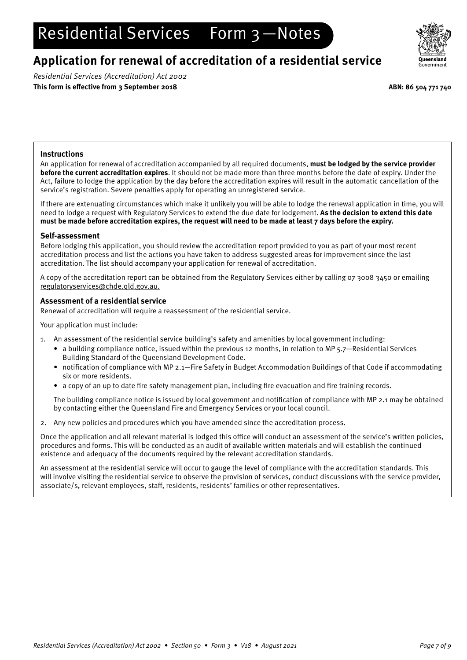# Residential Services Form 3-Notes

## **Application for renewal of accreditation of a residential service**

Residential Services (Accreditation) Act 2002 **This form is effective from 3 September 2018 ABN: 86 504 771 740**



### **Instructions**

An application for renewal of accreditation accompanied by all required documents, **must be lodged by the service provider before the current accreditation expires**. It should not be made more than three months before the date of expiry. Under the Act, failure to lodge the application by the day before the accreditation expires will result in the automatic cancellation of the service's registration. Severe penalties apply for operating an unregistered service.

If there are extenuating circumstances which make it unlikely you will be able to lodge the renewal application in time, you will need to lodge a request with Regulatory Services to extend the due date for lodgement. **As the decision to extend this date must be made before accreditation expires, the request will need to be made at least 7 days before the expiry.**

#### **Self-assessment**

Before lodging this application, you should review the accreditation report provided to you as part of your most recent accreditation process and list the actions you have taken to address suggested areas for improvement since the last accreditation. The list should accompany your application for renewal of accreditation.

A copy of the accreditation report can be obtained from the Regulatory Services either by calling 07 3008 3450 or emailing [regulatoryservices@chde.qld.gov.au](mailto:regulatoryservices%40chde.qld.gov.au?subject=).

#### **Assessment of a residential service**

Renewal of accreditation will require a reassessment of the residential service.

Your application must include:

- 1. An assessment of the residential service building's safety and amenities by local government including:
	- a building compliance notice, issued within the previous 12 months, in relation to MP 5.7—Residential Services Building Standard of the Queensland Development Code.
	- notification of compliance with MP 2.1—Fire Safety in Budget Accommodation Buildings of that Code if accommodating six or more residents.
	- a copy of an up to date fire safety management plan, including fire evacuation and fire training records.

The building compliance notice is issued by local government and notification of compliance with MP 2.1 may be obtained by contacting either the Queensland Fire and Emergency Services or your local council.

2. Any new policies and procedures which you have amended since the accreditation process.

Once the application and all relevant material is lodged this office will conduct an assessment of the service's written policies, procedures and forms. This will be conducted as an audit of available written materials and will establish the continued existence and adequacy of the documents required by the relevant accreditation standards.

An assessment at the residential service will occur to gauge the level of compliance with the accreditation standards. This will involve visiting the residential service to observe the provision of services, conduct discussions with the service provider, associate/s, relevant employees, staff, residents, residents' families or other representatives.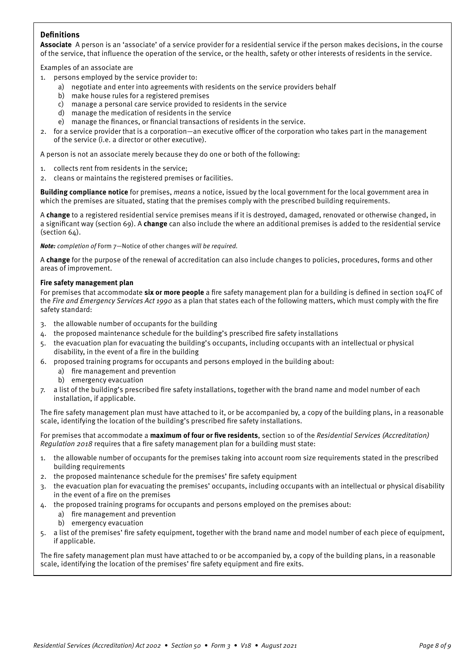### **Definitions**

**Associate** A person is an 'associate' of a service provider for a residential service if the person makes decisions, in the course of the service, that influence the operation of the service, or the health, safety or other interests of residents in the service.

Examples of an associate are

- 1. persons employed by the service provider to:
	- a) negotiate and enter into agreements with residents on the service providers behalf
	- b) make house rules for a registered premises
	- c) manage a personal care service provided to residents in the service
	- d) manage the medication of residents in the service
	- e) manage the finances, or financial transactions of residents in the service.
- 2. for a service provider that is a corporation—an executive officer of the corporation who takes part in the management of the service (i.e. a director or other executive).

A person is not an associate merely because they do one or both of the following:

- 1. collects rent from residents in the service;
- 2. cleans or maintains the registered premises or facilities.

**Building compliance notice** for premises, means a notice, issued by the local government for the local government area in which the premises are situated, stating that the premises comply with the prescribed building requirements.

A **change** to a registered residential service premises means if it is destroyed, damaged, renovated or otherwise changed, in a significant way (section 69). A **change** can also include the where an additional premises is added to the residential service (section  $64$ ).

**Note:** completion of Form 7-Notice of other changes will be required.

A **change** for the purpose of the renewal of accreditation can also include changes to policies, procedures, forms and other areas of improvement.

#### **Fire safety management plan**

For premises that accommodate **six or more people** a fire safety management plan for a building is defined in section 104FC of the Fire and Emergency Services Act 1990 as a plan that states each of the following matters, which must comply with the fire safety standard:

- 3. the allowable number of occupants for the building
- 4. the proposed maintenance schedule for the building's prescribed fire safety installations
- 5. the evacuation plan for evacuating the building's occupants, including occupants with an intellectual or physical disability, in the event of a fire in the building
- 6. proposed training programs for occupants and persons employed in the building about:
	- a) fire management and prevention
	- b) emergency evacuation
- 7. a list of the building's prescribed fire safety installations, together with the brand name and model number of each installation, if applicable.

The fire safety management plan must have attached to it, or be accompanied by, a copy of the building plans, in a reasonable scale, identifying the location of the building's prescribed fire safety installations.

For premises that accommodate a **maximum of four or five residents**, section 10 of the Residential Services (Accreditation) Regulation 2018 requires that a fire safety management plan for a building must state:

- 1. the allowable number of occupants for the premises taking into account room size requirements stated in the prescribed building requirements
- 2. the proposed maintenance schedule for the premises' fire safety equipment
- 3. the evacuation plan for evacuating the premises' occupants, including occupants with an intellectual or physical disability in the event of a fire on the premises
- 4. the proposed training programs for occupants and persons employed on the premises about:
	- a) fire management and prevention
	- b) emergency evacuation
- 5. a list of the premises' fire safety equipment, together with the brand name and model number of each piece of equipment, if applicable.

The fire safety management plan must have attached to or be accompanied by, a copy of the building plans, in a reasonable scale, identifying the location of the premises' fire safety equipment and fire exits.